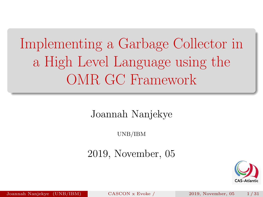<span id="page-0-0"></span>Implementing a Garbage Collector in a High Level Language using the OMR GC Framework

Joannah Nanjekye

UNB/IBM

2019, November, 05



Joannah Nanjekye (UNB/IBM) [CASCON x Evoke /](#page-31-0) 2019, November, 05 1 / 31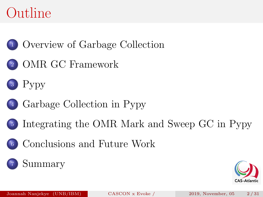

[OMR GC Framework](#page-6-0)





- [Integrating the OMR Mark and Sweep GC in Pypy](#page-17-0)
- [Conclusions and Future Work](#page-26-0)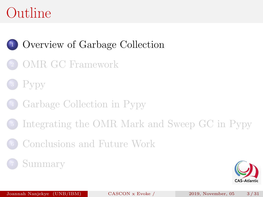### <span id="page-2-0"></span><sup>1</sup> [Overview of Garbage Collection](#page-2-0)

- <sup>2</sup> [OMR GC Framework](#page-6-0)
- P<sub>vpy</sub>
- <sup>4</sup> [Garbage Collection in Pypy](#page-13-0)
- <sup>5</sup> [Integrating the OMR Mark and Sweep GC in Pypy](#page-17-0)
- <sup>6</sup> [Conclusions and Future Work](#page-26-0)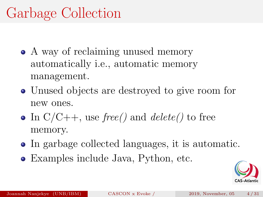# Garbage Collection

- A way of reclaiming unused memory automatically i.e., automatic memory management.
- Unused objects are destroyed to give room for new ones.
- In  $C/C++$ , use free() and delete() to free memory.
- In garbage collected languages, it is automatic.
- Examples include Java, Python, etc.

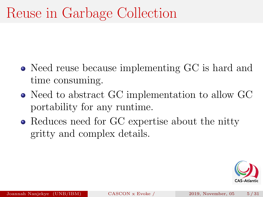# Reuse in Garbage Collection

- Need reuse because implementing GC is hard and time consuming.
- Need to abstract GC implementation to allow GC portability for any runtime.
- Reduces need for GC expertise about the nitty gritty and complex details.

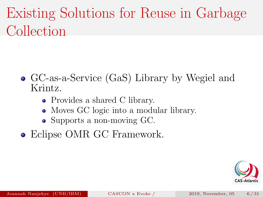# Existing Solutions for Reuse in Garbage Collection

- GC-as-a-Service (GaS) Library by Wegiel and Krintz.
	- Provides a shared C library.
	- Moves GC logic into a modular library.
	- Supports a non-moving GC.
- Eclipse OMR GC Framework.

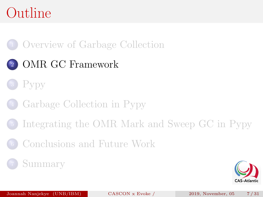<span id="page-6-0"></span>

### [OMR GC Framework](#page-6-0)



- [Garbage Collection in Pypy](#page-13-0)
- [Integrating the OMR Mark and Sweep GC in Pypy](#page-17-0)
- [Conclusions and Future Work](#page-26-0)

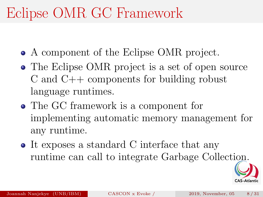# Eclipse OMR GC Framework

- A component of the Eclipse OMR project.
- The Eclipse OMR project is a set of open source C and C++ components for building robust language runtimes.
- The GC framework is a component for implementing automatic memory management for any runtime.
- It exposes a standard C interface that any runtime can call to integrate Garbage Collection.

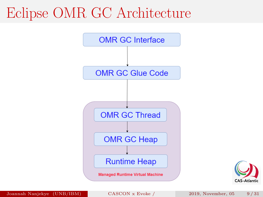## Eclipse OMR GC Architecture





Joannah Nanjekye (UNB/IBM) [CASCON x Evoke /](#page-0-0) 2019, November, 05 9 / 31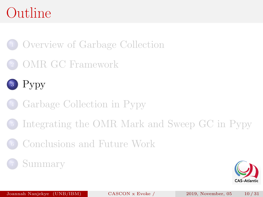<span id="page-9-0"></span>[Overview of Garbage Collection](#page-2-0)

[OMR GC Framework](#page-6-0)



- [Garbage Collection in Pypy](#page-13-0)
- [Integrating the OMR Mark and Sweep GC in Pypy](#page-17-0)
- [Conclusions and Future Work](#page-26-0)

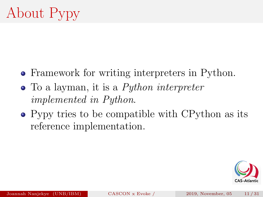- Framework for writing interpreters in Python.
- To a layman, it is a *Python interpreter* implemented in Python.
- Pypy tries to be compatible with CPython as its reference implementation.

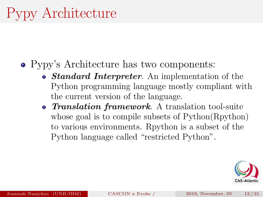#### Pypy's Architecture has two components:

- *Standard Interpreter*. An implementation of the Python programming language mostly compliant with the current version of the language.
- **Translation framework**. A translation tool-suite whose goal is to compile subsets of Python(Rpython) to various environments. Rpython is a subset of the Python language called "restricted Python".

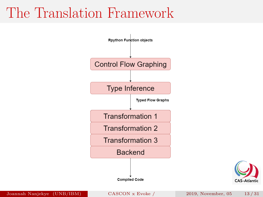### The Translation Framework





Joannah Nanjekye (UNB/IBM) [CASCON x Evoke /](#page-0-0) 2019, November, 05 13 / 31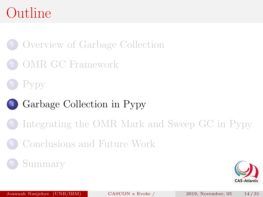<span id="page-13-0"></span><sup>1</sup> [Overview of Garbage Collection](#page-2-0)

<sup>2</sup> [OMR GC Framework](#page-6-0)



### [Garbage Collection in Pypy](#page-13-0)

- <sup>5</sup> [Integrating the OMR Mark and Sweep GC in Pypy](#page-17-0)
- <sup>6</sup> [Conclusions and Future Work](#page-26-0)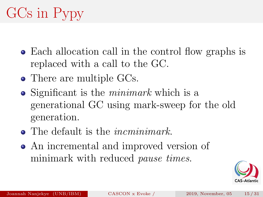# GCs in Pypy

- Each allocation call in the control flow graphs is replaced with a call to the GC.
- There are multiple GCs.
- Significant is the *minimark* which is a generational GC using mark-sweep for the old generation.
- The default is the *incminimark*.
- An incremental and improved version of minimark with reduced *pause times*.

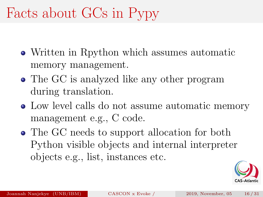# Facts about GCs in Pypy

- Written in Rpython which assumes automatic memory management.
- The GC is analyzed like any other program during translation.
- Low level calls do not assume automatic memory management e.g., C code.
- The GC needs to support allocation for both Python visible objects and internal interpreter objects e.g., list, instances etc.

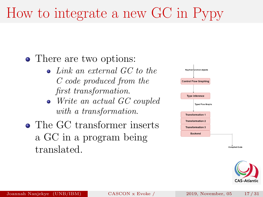# How to integrate a new GC in Pypy

• There are two options:

- $\bullet$  Link an external GC to the C code produced from the first transformation.
- Write an actual GC coupled with a transformation.
- The GC transformer inserts a GC in a program being translated.



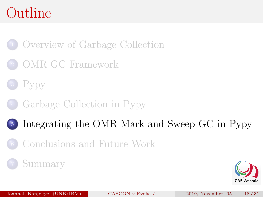<span id="page-17-0"></span><sup>1</sup> [Overview of Garbage Collection](#page-2-0)

- <sup>2</sup> [OMR GC Framework](#page-6-0)
- P<sub>vpy</sub>
- <sup>4</sup> [Garbage Collection in Pypy](#page-13-0)
- <sup>5</sup> [Integrating the OMR Mark and Sweep GC in Pypy](#page-17-0)
- <sup>6</sup> [Conclusions and Future Work](#page-26-0)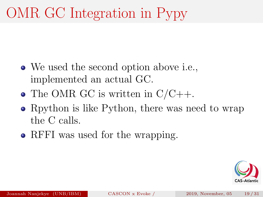# OMR GC Integration in Pypy

- We used the second option above i.e., implemented an actual GC.
- The OMR GC is written in  $C/C_{++}$ .
- Rpython is like Python, there was need to wrap the C calls.
- RFFI was used for the wrapping.

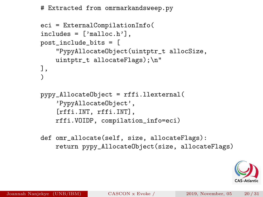```
# Extracted from omrmarkandsweep.py
```

```
eci = ExternalCompilationInfo(
includes = ['malloc.h'],
post_include_bits = [
    "PypyAllocateObject(uintptr_t allocSize,
    uintptr_t allocateFlags);\n"
],
)
```

```
pypy_AllocateObject = rffi.llexternal(
    'PypyAllocateObject',
    [rffi.INT, rffi.INT],
    rffi.VOIDP, compilation_info=eci)
```
def omr\_allocate(self, size, allocateFlags): return pypy\_AllocateObject(size, allocateFlags)

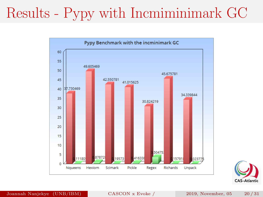# Results - Pypy with Incmiminimark GC



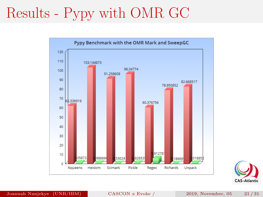# Results - Pypy with OMR GC



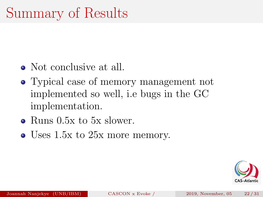# Summary of Results

- Not conclusive at all.
- Typical case of memory management not implemented so well, i.e bugs in the GC implementation.
- Runs 0.5x to 5x slower.
- Uses 1.5x to 25x more memory.

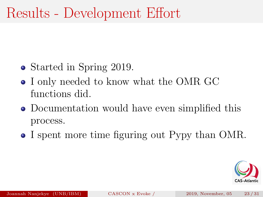# Results - Development Effort

- Started in Spring 2019.
- I only needed to know what the OMR GC functions did.
- Documentation would have even simplified this process.
- I spent more time figuring out Pypy than OMR.

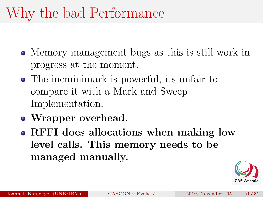# Why the bad Performance

- Memory management bugs as this is still work in progress at the moment.
- The incminimark is powerful, its unfair to compare it with a Mark and Sweep Implementation.
- Wrapper overhead.
- RFFI does allocations when making low level calls. This memory needs to be managed manually.

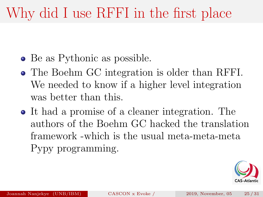# Why did I use RFFI in the first place

- Be as Pythonic as possible.
- The Boehm GC integration is older than RFFI. We needed to know if a higher level integration was better than this.
- It had a promise of a cleaner integration. The authors of the Boehm GC hacked the translation framework -which is the usual meta-meta-meta Pypy programming.

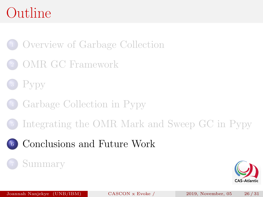<span id="page-26-0"></span><sup>1</sup> [Overview of Garbage Collection](#page-2-0)

- <sup>2</sup> [OMR GC Framework](#page-6-0)
- P<sub>vpy</sub>
- <sup>4</sup> [Garbage Collection in Pypy](#page-13-0)
- <sup>5</sup> [Integrating the OMR Mark and Sweep GC in Pypy](#page-17-0)
- <sup>6</sup> [Conclusions and Future Work](#page-26-0)

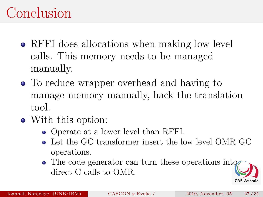# Conclusion

- RFFI does allocations when making low level calls. This memory needs to be managed manually.
- To reduce wrapper overhead and having to manage memory manually, hack the translation tool.
- With this option:
	- Operate at a lower level than RFFI.
	- Let the GC transformer insert the low level OMR GC operations.
	- The code generator can turn these operations into direct C calls to OMR.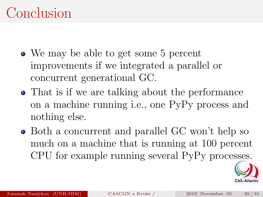## Conclusion

- We may be able to get some 5 percent improvements if we integrated a parallel or concurrent generational GC.
- That is if we are talking about the performance on a machine running i.e., one PyPy process and nothing else.
- Both a concurrent and parallel GC won't help so much on a machine that is running at 100 percent CPU for example running several PyPy processes.

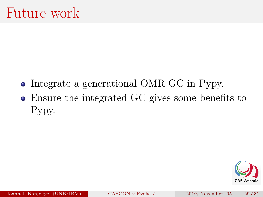- Integrate a generational OMR GC in Pypy.
- Ensure the integrated GC gives some benefits to Pypy.

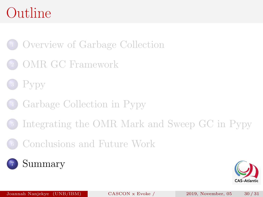<span id="page-30-0"></span>[Overview of Garbage Collection](#page-2-0)

- [OMR GC Framework](#page-6-0)
- P<sub>vpy</sub>
- [Garbage Collection in Pypy](#page-13-0)
- [Integrating the OMR Mark and Sweep GC in Pypy](#page-17-0)
- [Conclusions and Future Work](#page-26-0)